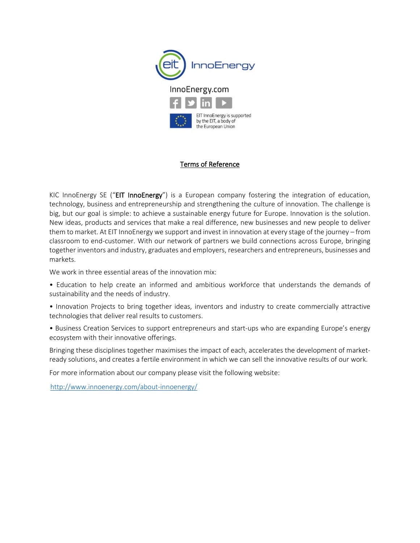

### Terms of Reference

KIC InnoEnergy SE ("EIT InnoEnergy") is a European company fostering the integration of education, technology, business and entrepreneurship and strengthening the culture of innovation. The challenge is big, but our goal is simple: to achieve a sustainable energy future for Europe. Innovation is the solution. New ideas, products and services that make a real difference, new businesses and new people to deliver them to market. At EIT InnoEnergy we support and invest in innovation at every stage of the journey – from classroom to end-customer. With our network of partners we build connections across Europe, bringing together inventors and industry, graduates and employers, researchers and entrepreneurs, businesses and markets.

We work in three essential areas of the innovation mix:

- Education to help create an informed and ambitious workforce that understands the demands of sustainability and the needs of industry.
- Innovation Projects to bring together ideas, inventors and industry to create commercially attractive technologies that deliver real results to customers.
- Business Creation Services to support entrepreneurs and start-ups who are expanding Europe's energy ecosystem with their innovative offerings.

Bringing these disciplines together maximises the impact of each, accelerates the development of marketready solutions, and creates a fertile environment in which we can sell the innovative results of our work.

For more information about our company please visit the following website:

<http://www.innoenergy.com/about-innoenergy/>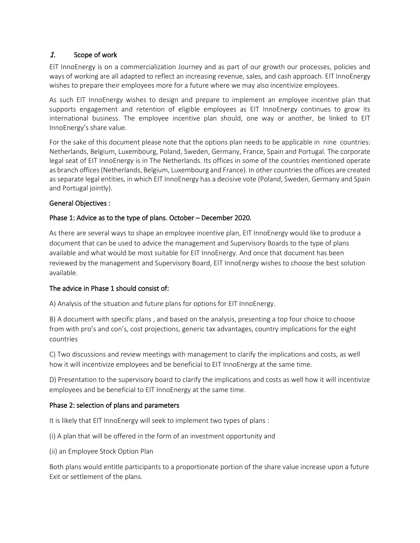# 1. Scope of work

EIT InnoEnergy is on a commercialization Journey and as part of our growth our processes, policies and ways of working are all adapted to reflect an increasing revenue, sales, and cash approach. EIT InnoEnergy wishes to prepare their employees more for a future where we may also incentivize employees.

As such EIT InnoEnergy wishes to design and prepare to implement an employee incentive plan that supports engagement and retention of eligible employees as EIT InnoEnergy continues to grow its international business. The employee incentive plan should, one way or another, be linked to EIT InnoEnergy's share value.

For the sake of this document please note that the options plan needs to be applicable in nine countries: Netherlands, Belgium, Luxembourg, Poland, Sweden, Germany, France, Spain and Portugal. The corporate legal seat of EIT InnoEnergy is in The Netherlands. Its offices in some of the countries mentioned operate as branch offices (Netherlands, Belgium, Luxembourg and France). In other countries the offices are created as separate legal entities, in which EIT InnoEnergy has a decisive vote (Poland, Sweden, Germany and Spain and Portugal jointly).

### General Objectives :

# Phase 1: Advice as to the type of plans. October – December 2020.

As there are several ways to shape an employee incentive plan, EIT InnoEnergy would like to produce a document that can be used to advice the management and Supervisory Boards to the type of plans available and what would be most suitable for EIT InnoEnergy. And once that document has been reviewed by the management and Supervisory Board, EIT InnoEnergy wishes to choose the best solution available.

### The advice in Phase 1 should consist of:

A) Analysis of the situation and future plans for options for EIT InnoEnergy.

B) A document with specific plans , and based on the analysis, presenting a top four choice to choose from with pro's and con's, cost projections, generic tax advantages, country implications for the eight countries

C) Two discussions and review meetings with management to clarify the implications and costs, as well how it will incentivize employees and be beneficial to EIT InnoEnergy at the same time.

D) Presentation to the supervisory board to clarify the implications and costs as well how it will incentivize employees and be beneficial to EIT InnoEnergy at the same time.

### Phase 2: selection of plans and parameters

It is likely that EIT InnoEnergy will seek to implement two types of plans :

(i) A plan that will be offered in the form of an investment opportunity and

(ii) an Employee Stock Option Plan

Both plans would entitle participants to a proportionate portion of the share value increase upon a future Exit or settlement of the plans.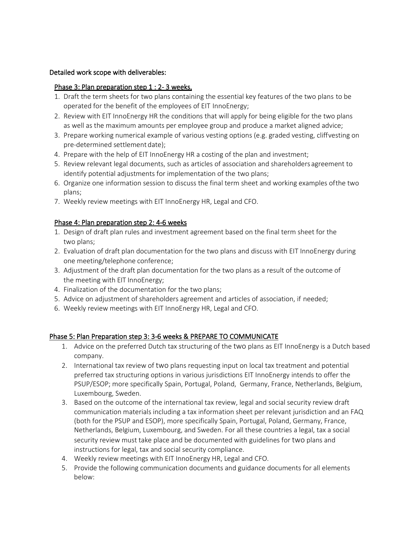#### Detailed work scope with deliverables:

#### Phase 3: Plan preparation step 1 : 2-3 weeks.

- 1. Draft the term sheets for two plans containing the essential key features of the two plans to be operated for the benefit of the employees of EIT InnoEnergy;
- 2. Review with EIT InnoEnergy HR the conditions that will apply for being eligible for the two plans as well as the maximum amounts per employee group and produce a market aligned advice;
- 3. Prepare working numerical example of various vesting options (e.g. graded vesting, cliffvesting on pre-determined settlement date);
- 4. Prepare with the help of EIT InnoEnergy HR a costing of the plan and investment;
- 5. Review relevant legal documents, such as articles of association and shareholders agreement to identify potential adjustments for implementation of the two plans;
- 6. Organize one information session to discuss the final term sheet and working examples ofthe two plans;
- 7. Weekly review meetings with EIT InnoEnergy HR, Legal and CFO.

### Phase 4: Plan preparation step 2: 4-6 weeks

- 1. Design of draft plan rules and investment agreement based on the final term sheet for the two plans;
- 2. Evaluation of draft plan documentation for the two plans and discuss with EIT InnoEnergy during one meeting/telephone conference;
- 3. Adjustment of the draft plan documentation for the two plans as a result of the outcome of the meeting with EIT InnoEnergy;
- 4. Finalization of the documentation for the two plans;
- 5. Advice on adjustment of shareholders agreement and articles of association, if needed;
- 6. Weekly review meetings with EIT InnoEnergy HR, Legal and CFO.

### Phase 5: Plan Preparation step 3: 3-6 weeks & PREPARE TO COMMUNICATE

- 1. Advice on the preferred Dutch tax structuring of the two plans as EIT InnoEnergy is a Dutch based company.
- 2. International tax review of two plans requesting input on local tax treatment and potential preferred tax structuring options in various jurisdictions EIT InnoEnergy intends to offer the PSUP/ESOP; more specifically Spain, Portugal, Poland, Germany, France, Netherlands, Belgium, Luxembourg, Sweden.
- 3. Based on the outcome of the international tax review, legal and social security review draft communication materials including a tax information sheet per relevant jurisdiction and an FAQ (both for the PSUP and ESOP), more specifically Spain, Portugal, Poland, Germany, France, Netherlands, Belgium, Luxembourg, and Sweden. For all these countries a legal, tax a social security review must take place and be documented with guidelines for two plans and instructions for legal, tax and social security compliance.
- 4. Weekly review meetings with EIT InnoEnergy HR, Legal and CFO.
- 5. Provide the following communication documents and guidance documents for all elements below: